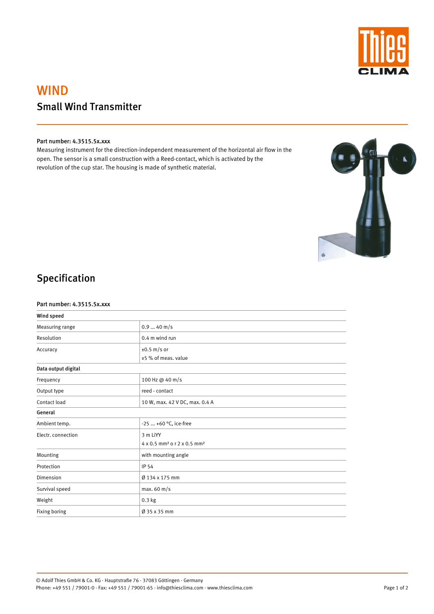

# WIND Small Wind Transmitter

### Part number: 4.3515.5x.xxx

Measuring instrument for the direction-independent measurement of the horizontal air flow in the open. The sensor is a small construction with a Reed-contact, which is activated by the revolution of the cup star. The housing is made of synthetic material.



## Specification

#### Part number: 4.3515.5x.xxx

| Wind speed          |                                                                 |
|---------------------|-----------------------------------------------------------------|
| Measuring range     | $0.940$ m/s                                                     |
| Resolution          | 0.4 m wind run                                                  |
| Accuracy            | $\pm 0.5$ m/s or<br>±5 % of meas. value                         |
| Data output digital |                                                                 |
| Frequency           | 100 Hz @ 40 m/s                                                 |
| Output type         | reed - contact                                                  |
| Contact load        | 10 W, max. 42 V DC, max. 0.4 A                                  |
| General             |                                                                 |
| Ambient temp.       | -25  +60 °C, ice-free                                           |
| Electr. connection  | 3 m LiYY<br>4 x 0.5 mm <sup>2</sup> o r 2 x 0.5 mm <sup>2</sup> |
| Mounting            | with mounting angle                                             |
| Protection          | IP 54                                                           |
| Dimension           | Ø 134 x 175 mm                                                  |
| Survival speed      | max. $60 \text{ m/s}$                                           |
| Weight              | $0.3$ kg                                                        |
| Fixing boring       | Ø 35 x 35 mm                                                    |

© Adolf Thies GmbH & Co. KG · Hauptstraße 76 · 37083 Göttingen · Germany Phone: +49 551 / 79001-0 · Fax: +49 551 / 79001-65 · info@thiesclima.com · www.thiesclima.com